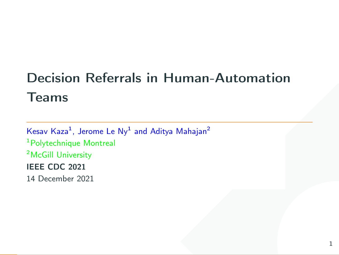# n Human-Automation<br>Aditya Mahajan<sup>2</sup> Decision Referrals in Human-Automation Teams

Kesav Kaza $^1$ , Jerome Le Ny $^1$  and Aditya Mahajan $^2$ <sup>1</sup>Polytechnique Montreal <sup>2</sup>McGill University IEEE CDC 2021 14 December 2021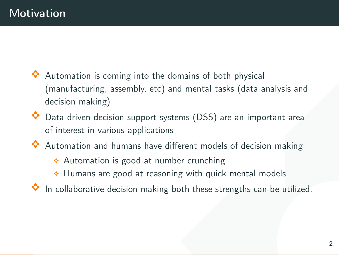- the domains of both physical<br>tc) and mental tasks (data analysis and<br>t systems (DSS) are an important area<br>ve different models of decision making<br>number crunching<br>asoning with quick mental models<br>king both these strengths Automation is coming into the domains of both physical (manufacturing, assembly, etc) and mental tasks (data analysis and decision making)
- $\Diamond$  Data driven decision support systems (DSS) are an important area of interest in various applications
- $\Diamond$  Automation and humans have different models of decision making
	- $\triangle$  Automation is good at number crunching
	- $\triangle$  Humans are good at reasoning with quick mental models
- $\bullet$  In collaborative decision making both these strengths can be utilized.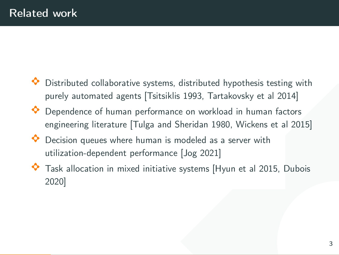- stems, distributed hypothesis testing with<br>sitsiklis 1993, Tartakovsky et al 2014]<br>prmance on workload in human factors<br>and Sheridan 1980, Wickens et al 2015]<br>an is modeled as a server with<br>mance [Jog 2021]<br>tiative systems Distributed collaborative systems, distributed hypothesis testing with purely automated agents [Tsitsiklis 1993, Tartakovsky et al 2014]
- $\bullet$  Dependence of human performance on workload in human factors engineering literature [Tulga and Sheridan 1980, Wickens et al 2015]
- $\bullet$  Decision queues where human is modeled as a server with utilization-dependent performance [Jog 2021]
- $\bullet$  Task allocation in mixed initiative systems [Hyun et al 2015, Dubois 2020]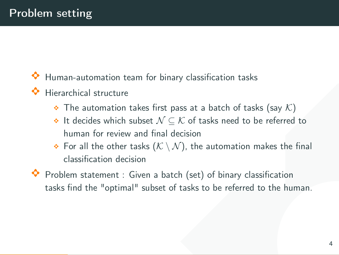- Human-automation team for binary classification tasks
- Hierarchical structure
	- $\bullet$  The automation takes first pass at a batch of tasks (say K)
	- $\bullet$  It decides which subset  $\mathcal{N} \subseteq \mathcal{K}$  of tasks need to be referred to human for review and final decision
	- $\bullet$  For all the other tasks  $(\mathcal{K} \setminus \mathcal{N})$ , the automation makes the final classification decision
- or binary classification tasks<br>
first pass at a batch of tasks (say K)<br>  $N \subseteq K$  of tasks need to be referred to<br>
final decision<br>  $(K \setminus N)$ , the automation makes the final<br>
a batch (set) of binary classification<br>
sset of tas  $\bullet$  Problem statement : Given a batch (set) of binary classification tasks find the "optimal" subset of tasks to be referred to the human.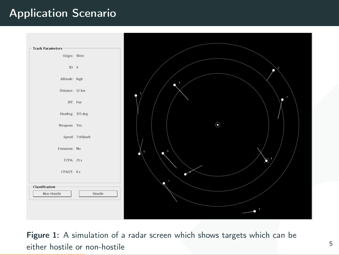## Application Scenario



Figure 1: A simulation of a radar screen which shows targets which can be either hostile or non-hostile 5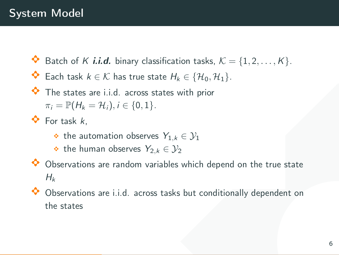- $\bullet$  Batch of K *i.i.d.* binary classification tasks,  $\mathcal{K} = \{1, 2, ..., K\}$ .
- ◆ Each task  $k \in \mathcal{K}$  has true state  $H_k \in \{H_0, H_1\}.$
- $\bullet$  The states are i.i.d. across states with prior  $\pi_i = \mathbb{P}(H_k = \mathcal{H}_i), i \in \{0, 1\}.$
- $\bullet$  For task  $k$ ,
	- $\bullet$  the automation observes  $Y_{1,k} \in \mathcal{Y}_1$
	- $\bullet$  the human observes  $Y_{2,k} \in \mathcal{Y}_2$
- ssification tasks,  $K = \{1, 2, ..., K\}$ .<br>
tate  $H_k \in \{H_0, H_1\}$ .<br>
states with prior<br>
.<br>
ss  $Y_{1,k} \in \mathcal{Y}_1$ <br>
ss  $Y_{2,k} \in \mathcal{Y}_2$ <br>
riables which depend on the true state<br>
ss tasks but conditionally dependent on<br>
6  $\bullet$  Observations are random variables which depend on the true state  $H_k$
- $\bullet$  Observations are i.i.d. across tasks but conditionally dependent on the states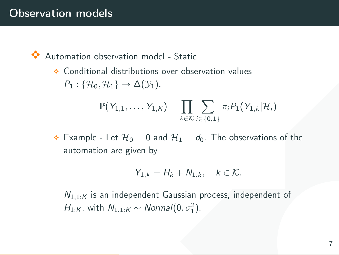# Observation models

 $\Diamond$  Automation observation model - Static

 $\triangle$  Conditional distributions over observation values  $P_1$  : { $\mathcal{H}_0$ ,  $\mathcal{H}_1$ }  $\rightarrow \Delta(\mathcal{Y}_1)$ .

$$
\mathbb{P}(Y_{1,1},\ldots,Y_{1,K})=\prod_{k\in\mathcal{K}}\sum_{i\in\{0,1\}}\pi_iP_1(Y_{1,k}|\mathcal{H}_i)
$$

del - Static<br>
s over observation values<br>
1,  $K$ ) =  $\prod_{k \in K} \sum_{i \in \{0,1\}} \pi_i P_1(Y_{1,k}|\mathcal{H}_i)$ <br>
and  $\mathcal{H}_1 = d_0$ . The observations of the<br>
y<br>
=  $H_k + N_{1,k}, \quad k \in \mathcal{K}$ ,<br>
ant Gaussian process, independent of<br>  $\sigma$ rmal $(0, \sigma_$  $\triangle$  Example - Let  $\mathcal{H}_0 = 0$  and  $\mathcal{H}_1 = d_0$ . The observations of the automation are given by

$$
Y_{1,k}=H_k+N_{1,k},\quad k\in\mathcal{K},
$$

 $N_{1,1:K}$  is an independent Gaussian process, independent of  $H_{1:K}$ , with  $N_{1,1:K} \sim Normal(0, \sigma_1^2)$ .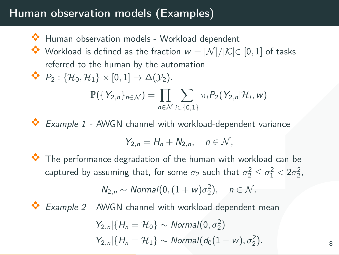# Human observation models (Examples)

- $\Diamond$  Human observation models Workload dependent
- $\bullet$  Workload is defined as the fraction  $w = |\mathcal{N}|/|\mathcal{K}| \in [0,1]$  of tasks referred to the human by the automation
- $\blacklozenge$   $P_2$ : { $\mathcal{H}_0$ ,  $\mathcal{H}_1$ }  $\times$  [0, 1]  $\rightarrow \Delta(\mathcal{Y}_2)$ .

$$
\mathbb{P}(\lbrace Y_{2,n}\rbrace_{n\in\mathcal{N}})=\prod_{n\in\mathcal{N}}\sum_{i\in\lbrace 0,1\rbrace}\pi_iP_2(Y_{2,n}|\mathcal{H}_i,w)
$$

Example  $1$  - AWGN channel with workload-dependent variance

$$
Y_{2,n}=H_n+N_{2,n},\quad n\in\mathcal{N},
$$

(Examples)<br>
- Workload dependent<br>
fraction  $w = |\mathcal{N}|/|\mathcal{K}| \in [0, 1]$  of tasks<br>
e automation<br>
( $\mathcal{Y}_2$ ).<br>
-  $\prod_{n \in \mathcal{N}} \sum_{i \in \{0, 1\}} \pi_i P_2(Y_{2, n}|\mathcal{H}_i, w)$ <br>
I with workload-dependent variance<br>  $H_n + N_{2, n}, \quad n \in \mathcal{N}$ ,<br>  $\bullet$  The performance degradation of the human with workload can be captured by assuming that, for some  $\sigma_2$  such that  $\sigma_2^2 \leq \sigma_1^2 < 2 \sigma_2^2$ ,  $N_{2,n} \sim \text{Normal}(0, (1+w)\sigma_2^2), \quad n \in \mathcal{N}.$ 

Example 2 - AWGN channel with workload-dependent mean

$$
Y_{2,n}|\{H_n = \mathcal{H}_0\} \sim \text{Normal}(0, \sigma_2^2)
$$
  

$$
Y_{2,n}|\{H_n = \mathcal{H}_1\} \sim \text{Normal}(d_0(1 - w), \sigma_2^2)
$$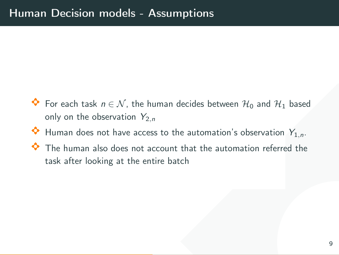- Assumptions<br>
uman decides between  $\mathcal{H}_0$  and  $\mathcal{H}_1$  based<br>
"<br>
ss to the automation's observation  $Y_{1,n}$ .<br>
ccount that the automation referred the<br>
tire batch<br>
9  $\bullet$  For each task  $n \in \mathcal{N}$ , the human decides between  $\mathcal{H}_0$  and  $\mathcal{H}_1$  based only on the observation  $Y_{2,n}$
- $\bullet$  Human does not have access to the automation's observation  $Y_{1,n}$ .
- $\Diamond$  The human also does not account that the automation referred the task after looking at the entire batch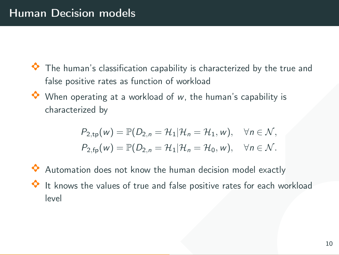- $\bullet$  The human's classification capability is characterized by the true and false positive rates as function of workload
- $\Diamond$  When operating at a workload of w, the human's capability is characterized by

$$
P_{2,\text{tp}}(w) = \mathbb{P}(D_{2,n} = \mathcal{H}_1 | \mathcal{H}_n = \mathcal{H}_1, w), \quad \forall n \in \mathcal{N},
$$
  

$$
P_{2,\text{fp}}(w) = \mathbb{P}(D_{2,n} = \mathcal{H}_1 | \mathcal{H}_n = \mathcal{H}_0, w), \quad \forall n \in \mathcal{N}.
$$

examplability is characterized by the true and<br>
on of workload<br>
aad of w, the human's capability is<br>  $= \mathcal{H}_1 | \mathcal{H}_n = \mathcal{H}_1, w$ ,  $\forall n \in \mathcal{N}$ ,<br>  $= \mathcal{H}_1 | \mathcal{H}_n = \mathcal{H}_0, w$ ,  $\forall n \in \mathcal{N}$ .<br>
the human decision model exa  $\Diamond$  Automation does not know the human decision model exactly  $\bullet$  It knows the values of true and false positive rates for each workload level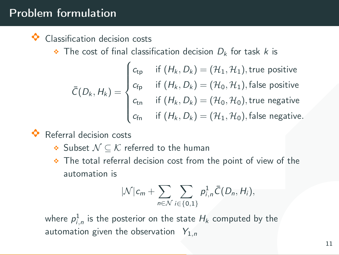# Problem formulation

#### Classification decision costs

 $\bullet$  The cost of final classification decision  $D_k$  for task k is

**multion**  
\n**ication decision costs**  
\nhe cost of final classification decision 
$$
D_k
$$
 for task  $k$  is  
\n
$$
\bar{C}(D_k, H_k) = \begin{cases}\nc_{tp} & \text{if } (H_k, D_k) = (\mathcal{H}_1, \mathcal{H}_1), \text{true positive} \\
c_{fp} & \text{if } (H_k, D_k) = (\mathcal{H}_0, \mathcal{H}_1), \text{false positive} \\
c_{fn} & \text{if } (H_k, D_k) = (\mathcal{H}_0, \mathcal{H}_0), \text{true negative}\n\end{cases}
$$
\n
$$
c_{fn} & \text{if } (H_k, D_k) = (\mathcal{H}_1, \mathcal{H}_0), \text{false negative}.
$$
\nall decision costs

\nubset  $\mathcal{N} \subseteq \mathcal{K}$  referred to the human

\nhe total referral decision cost from the point of view of the

\nutomation is

\n
$$
|\mathcal{N}|c_m + \sum_{n \in \mathcal{N}} \sum_{i \in \{0,1\}} p_{i,n}^1 \bar{C}(D_n, H_i),
$$
\n
$$
p_{i,n}^1
$$
\nis the posterior on the state  $H_k$  computed by the

\nation given the observation  $Y_{1,n}$ 

\n
$$
Y_{1,n} = \frac{11}{\sqrt{25}} \sum_{n \in \mathcal{N}} \sum_{i \in \{0,1\}} p_{i,n}^1 \bar{C}(D_n, H_i),
$$
\n
$$
Y_{1,n} = \frac{11}{\sqrt{25}} \sum_{n \in \mathcal{N}} p_{i,n}^2 \bar{C}(D_n, H_i),
$$

A Referral decision costs

- $\bullet$  Subset  $\mathcal{N} \subset \mathcal{K}$  referred to the human
- $\bullet$  The total referral decision cost from the point of view of the automation is

$$
|\mathcal{N}|c_m + \sum_{n \in \mathcal{N}} \sum_{i \in \{0,1\}} p_{i,n}^1 \overline{C}(D_n, H_i),
$$

where  $\rho^1_{i,n}$  is the posterior on the state  $H_k$  computed by the automation given the observation  $Y_{1,n}$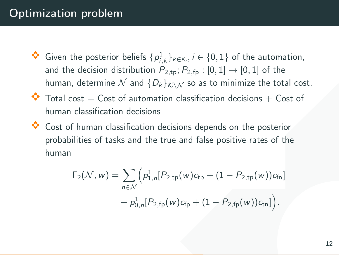# Optimization problem

- $\left[ p_{i,k}^1 \right]_{k \in \mathcal{K}}, i \in \{0, 1\}$  of the automation,<br>  $P_{2,tp}; P_{2,fp} : [0, 1] \rightarrow [0, 1]$  of the<br>  $D_k$ <sub>*k*V</sub>, so as to minimize the total cost.<br>
ation classification decisions + Cost of<br>
ns<br>
a decisions depends on the poster ◆ Given the posterior beliefs  $\{p_{i,k}^1\}_{k \in \mathcal{K}}, i \in \{0,1\}$  of the automation, and the decision distribution  $P_{2,tp}$ ;  $P_{2,fp}$  :  $[0,1] \rightarrow [0,1]$  of the human, determine  $\mathcal N$  and  $\{D_k\}_{k\in\mathcal N}$  so as to minimize the total cost.
- $\bullet$  Total cost = Cost of automation classification decisions + Cost of human classification decisions
- $\bullet$  Cost of human classification decisions depends on the posterior probabilities of tasks and the true and false positive rates of the human

$$
\Gamma_2(\mathcal{N}, w) = \sum_{n \in \mathcal{N}} \Big( p_{1,n}^1[P_{2,\text{tp}}(w)c_{\text{tp}} + (1 - P_{2,\text{tp}}(w))c_{\text{fn}}\Big) + p_{0,n}^1[P_{2,\text{fp}}(w)c_{\text{fp}} + (1 - P_{2,\text{fp}}(w))c_{\text{tn}}]\Big).
$$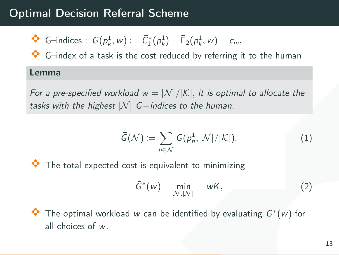# Optimal Decision Referral Scheme

$$
\bullet \quad \mathsf{G}\text{-indices}: G(p_k^1,w) \coloneqq \bar{C}_1^*(p_k^1) - \bar{\Gamma}_2(p_k^1,w) - c_m.
$$

 $\Diamond$  G-index of a task is the cost reduced by referring it to the human

#### Lemma

For a pre-specified workload  $w = |\mathcal{N}|/|\mathcal{K}|$ , it is optimal to allocate the tasks with the highest  $|N|$  G-indices to the human.

**General Scheme**

\n
$$
v) := \overline{C}_{1}^{*}(p_{k}^{1}) - \overline{\Gamma}_{2}(p_{k}^{1}, w) - c_{m}.
$$

\nis the cost reduced by referring it to the human.

\n
$$
kload \ w = |N|/|K|
$$
, it is optimal to allocate the

\n
$$
\sqrt{|G - \text{indices to the human.}}
$$

\n
$$
\overline{G}(\mathcal{N}) := \sum_{n \in \mathcal{N}} G(p_{n}^{1}, |N|/|K|).
$$

\n(1)

\ncost is equivalent to minimizing

\n
$$
\overline{G}^{*}(w) = \min_{N:|N|} = wK,
$$

\n(2)

\nad  $w$  can be identified by evaluating  $G^{*}(w)$  for

The total expected cost is equivalent to minimizing

$$
\bar{G}^*(w) = \min_{\mathcal{N}:|\mathcal{N}|} = wK,\tag{2}
$$

◆ The optimal workload w can be identified by evaluating  $G^*(w)$  for all choices of w.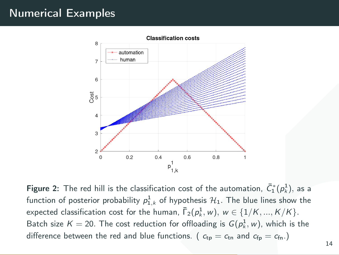# Numerical Examples



Figure 2: The red hill is the classification cost of the automation,  $\bar{C}_1^*(p_k^1),$  as a function of posterior probability  $\rho^1_{1,k}$  of hypothesis  $\mathcal{H}_1.$  The blue lines show the expected classification cost for the human,  $\bar{\mathsf{\Gamma}}_2(p_k^1, w), \, w \in \{1/K, ..., K/K\}.$ Batch size  $K = 20$ . The cost reduction for offloading is  $G(p_k^1, w)$ , which is the difference between the red and blue functions. ( $c_{tp} = c_{tn}$  and  $c_{fp} = c_{fn}$ .)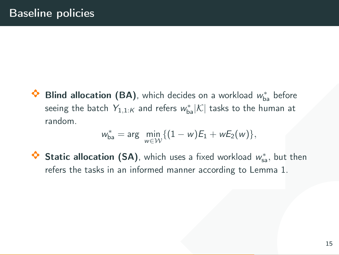ich decides on a workload  $w_{ba}^{*}$  before<br>refers  $w_{ba}^{*} |K|$  tasks to the human at<br> $\inf_{\mathcal{W}} \{ (1 - w) E_1 + w E_2(w) \},$ <br>inch uses a fixed workload  $w_{aa}^{*}$ , but then<br>ned manner according to Lemma 1.<br>15  $\bullet$  Blind allocation (BA), which decides on a workload  $w_{ba}^*$  before seeing the batch  $Y_{1,1:\mathcal{K}}$  and refers  $w_{\text{ba}}^*|\mathcal{K}|$  tasks to the human at random.

$$
w_{ba}^* = \arg \ \min_{w \in \mathcal{W}} \{ (1 - w) E_1 + w E_2(w) \},
$$

◆ Static allocation (SA), which uses a fixed workload  $w_{sa}^*$ , but then refers the tasks in an informed manner according to Lemma 1.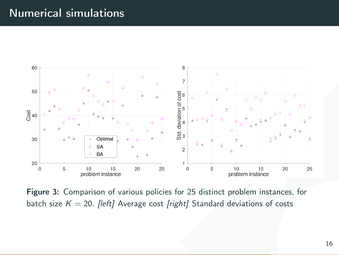# Numerical simulations



Figure 3: Comparison of various policies for 25 distinct problem instances, for batch size  $K = 20$ . [left] Average cost [right] Standard deviations of costs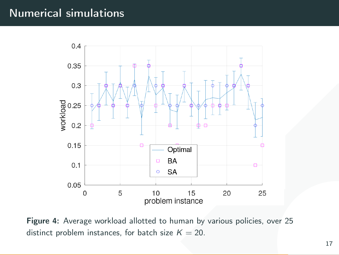# Numerical simulations



Figure 4: Average workload allotted to human by various policies, over 25 distinct problem instances, for batch size  $K = 20$ .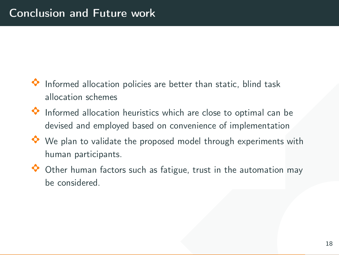- $\Diamond$  Informed allocation policies are better than static, blind task allocation schemes
- $\bullet$  Informed allocation heuristics which are close to optimal can be devised and employed based on convenience of implementation
- Example the static, blind task<br>are better than static, blind task<br>and the static of implementation<br>posed model through experiments with<br>a fatigue, trust in the automation may<br>all the static map<br>and the static map<br>and the s  $\Diamond$  We plan to validate the proposed model through experiments with human participants.
- $\bullet$  Other human factors such as fatigue, trust in the automation may be considered.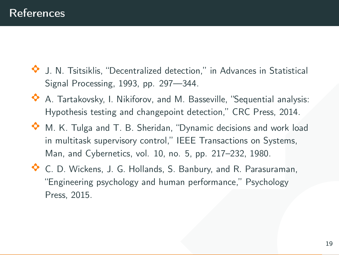- $\Diamond$  J. N. Tsitsiklis, "Decentralized detection," in Advances in Statistical Signal Processing, 1993, pp. 297––344.
- A A. Tartakovsky, I. Nikiforov, and M. Basseville, "Sequential analysis: Hypothesis testing and changepoint detection," CRC Press, 2014.
- ed detection," in Advances in Statistical<br>
297—344.<br>
and M. Basseville, "Sequential analysis:<br>
igepoint detection," CRC Press, 2014.<br>
idan, "Dynamic decisions and work load<br>
trol," IEEE Transactions on Systems,<br>
10, no. 5,  $\bullet$  M. K. Tulga and T. B. Sheridan, "Dynamic decisions and work load in multitask supervisory control," IEEE Transactions on Systems, Man, and Cybernetics, vol. 10, no. 5, pp. 217–232, 1980.
- A C. D. Wickens, J. G. Hollands, S. Banbury, and R. Parasuraman, "Engineering psychology and human performance," Psychology Press, 2015.